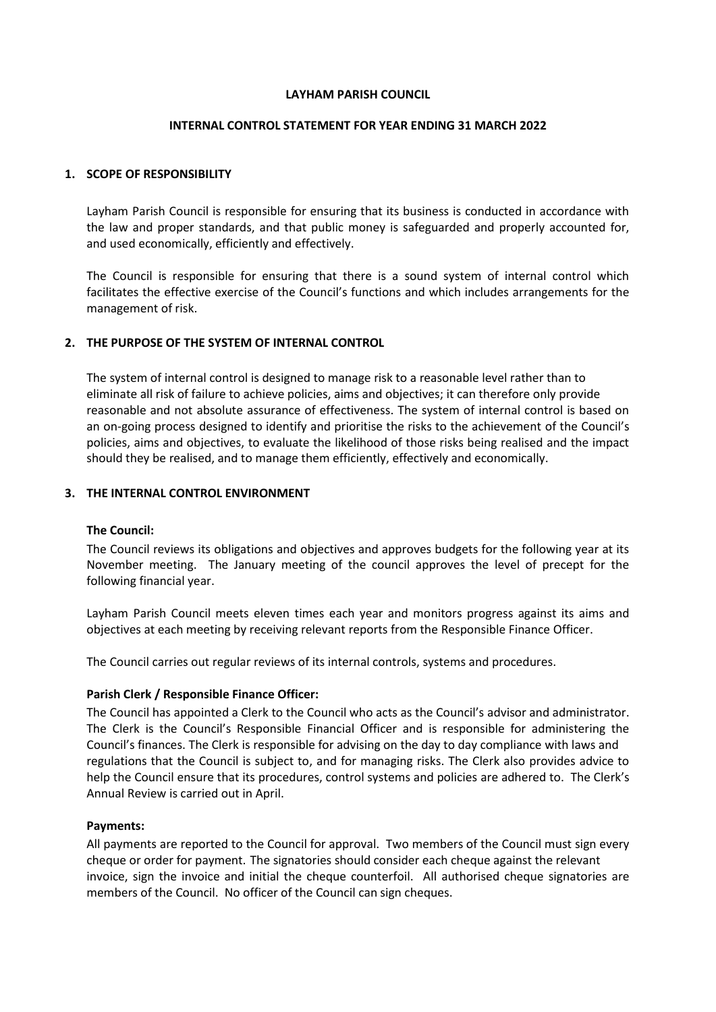### **LAYHAM PARISH COUNCIL**

# **INTERNAL CONTROL STATEMENT FOR YEAR ENDING 31 MARCH 2022**

# **1. SCOPE OF RESPONSIBILITY**

Layham Parish Council is responsible for ensuring that its business is conducted in accordance with the law and proper standards, and that public money is safeguarded and properly accounted for, and used economically, efficiently and effectively.

The Council is responsible for ensuring that there is a sound system of internal control which facilitates the effective exercise of the Council's functions and which includes arrangements for the management of risk.

### **2. THE PURPOSE OF THE SYSTEM OF INTERNAL CONTROL**

The system of internal control is designed to manage risk to a reasonable level rather than to eliminate all risk of failure to achieve policies, aims and objectives; it can therefore only provide reasonable and not absolute assurance of effectiveness. The system of internal control is based on an on-going process designed to identify and prioritise the risks to the achievement of the Council's policies, aims and objectives, to evaluate the likelihood of those risks being realised and the impact should they be realised, and to manage them efficiently, effectively and economically.

## **3. THE INTERNAL CONTROL ENVIRONMENT**

#### **The Council:**

The Council reviews its obligations and objectives and approves budgets for the following year at its November meeting. The January meeting of the council approves the level of precept for the following financial year.

Layham Parish Council meets eleven times each year and monitors progress against its aims and objectives at each meeting by receiving relevant reports from the Responsible Finance Officer.

The Council carries out regular reviews of its internal controls, systems and procedures.

# **Parish Clerk / Responsible Finance Officer:**

The Council has appointed a Clerk to the Council who acts as the Council's advisor and administrator. The Clerk is the Council's Responsible Financial Officer and is responsible for administering the Council's finances. The Clerk is responsible for advising on the day to day compliance with laws and regulations that the Council is subject to, and for managing risks. The Clerk also provides advice to help the Council ensure that its procedures, control systems and policies are adhered to. The Clerk's Annual Review is carried out in April.

#### **Payments:**

All payments are reported to the Council for approval. Two members of the Council must sign every cheque or order for payment. The signatories should consider each cheque against the relevant invoice, sign the invoice and initial the cheque counterfoil. All authorised cheque signatories are members of the Council. No officer of the Council can sign cheques.